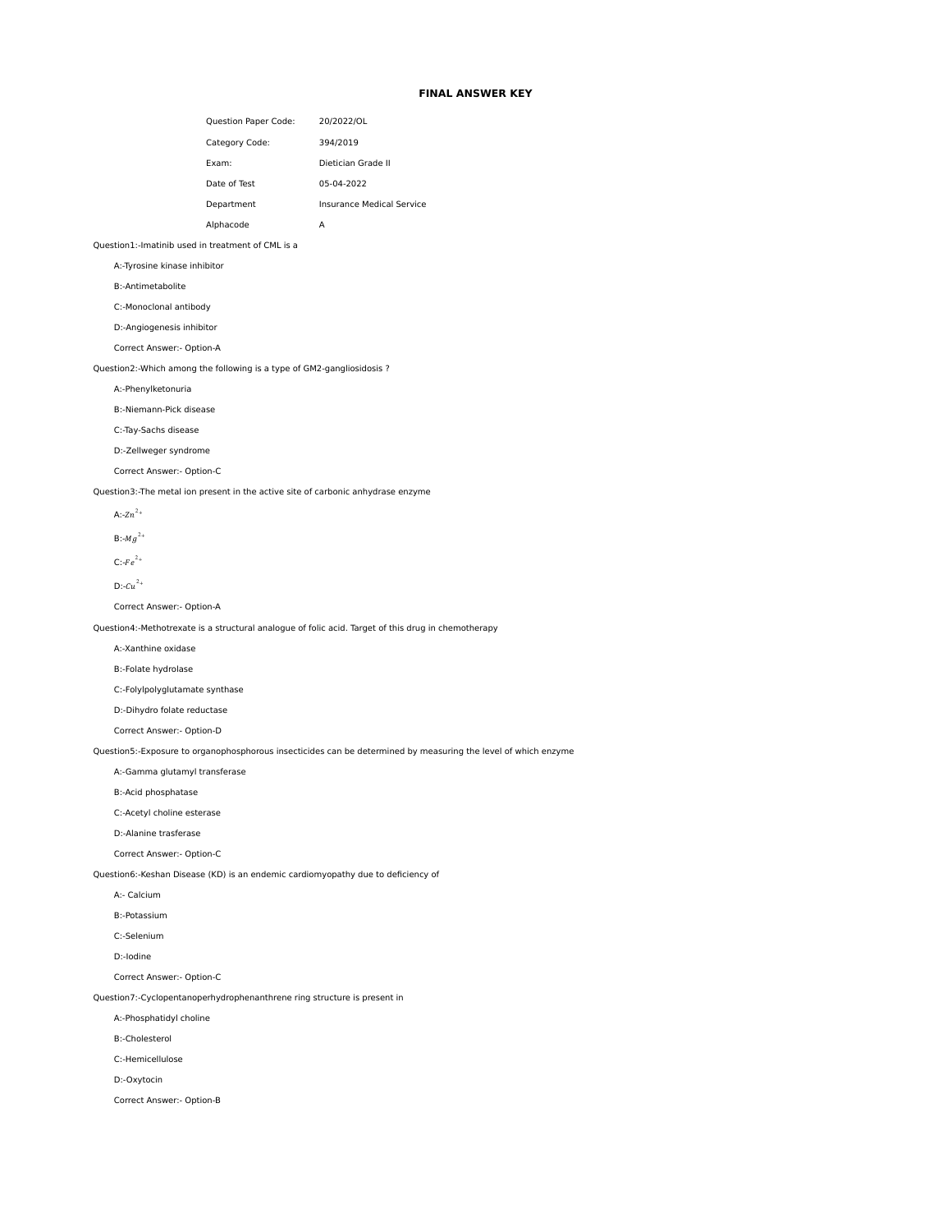# **FINAL ANSWER KEY**

| Question Paper Code: | 20/2022/OL                |
|----------------------|---------------------------|
| Category Code:       | 394/2019                  |
| Exam:                | Dietician Grade II        |
| Date of Test         | 05-04-2022                |
| Department           | Insurance Medical Service |
| Alphacode            | А                         |

# Question1:-Imatinib used in treatment of CML is a

A:-Tyrosine kinase inhibitor

B:-Antimetabolite

C:-Monoclonal antibody

D:-Angiogenesis inhibitor

Correct Answer:- Option-A

Question2:-Which among the following is a type of GM2-gangliosidosis ?

A:-Phenylketonuria

B:-Niemann-Pick disease

C:-Tay-Sachs disease

D:-Zellweger syndrome

Correct Answer:- Option-C

Question3:-The metal ion present in the active site of carbonic anhydrase enzyme

A: $-2n^{2+}$ 

 $B: -Mg^{2+}$ 

 $C$ :- $Fe^{2+}$ 

 $D:-Cu^{2+}$ 

Correct Answer:- Option-A

Question4:-Methotrexate is a structural analogue of folic acid. Target of this drug in chemotherapy

A:-Xanthine oxidase

B:-Folate hydrolase

C:-Folylpolyglutamate synthase

D:-Dihydro folate reductase

Correct Answer:- Option-D

Question5:-Exposure to organophosphorous insecticides can be determined by measuring the level of which enzyme

A:-Gamma glutamyl transferase

B:-Acid phosphatase

C:-Acetyl choline esterase

D:-Alanine trasferase

Correct Answer:- Option-C

Question6:-Keshan Disease (KD) is an endemic cardiomyopathy due to deficiency of

A:- Calcium

B:-Potassium

C:-Selenium

D:-Iodine

Correct Answer:- Option-C

Question7:-Cyclopentanoperhydrophenanthrene ring structure is present in

A:-Phosphatidyl choline

B:-Cholesterol

C:-Hemicellulose

D:-Oxytocin

Correct Answer:- Option-B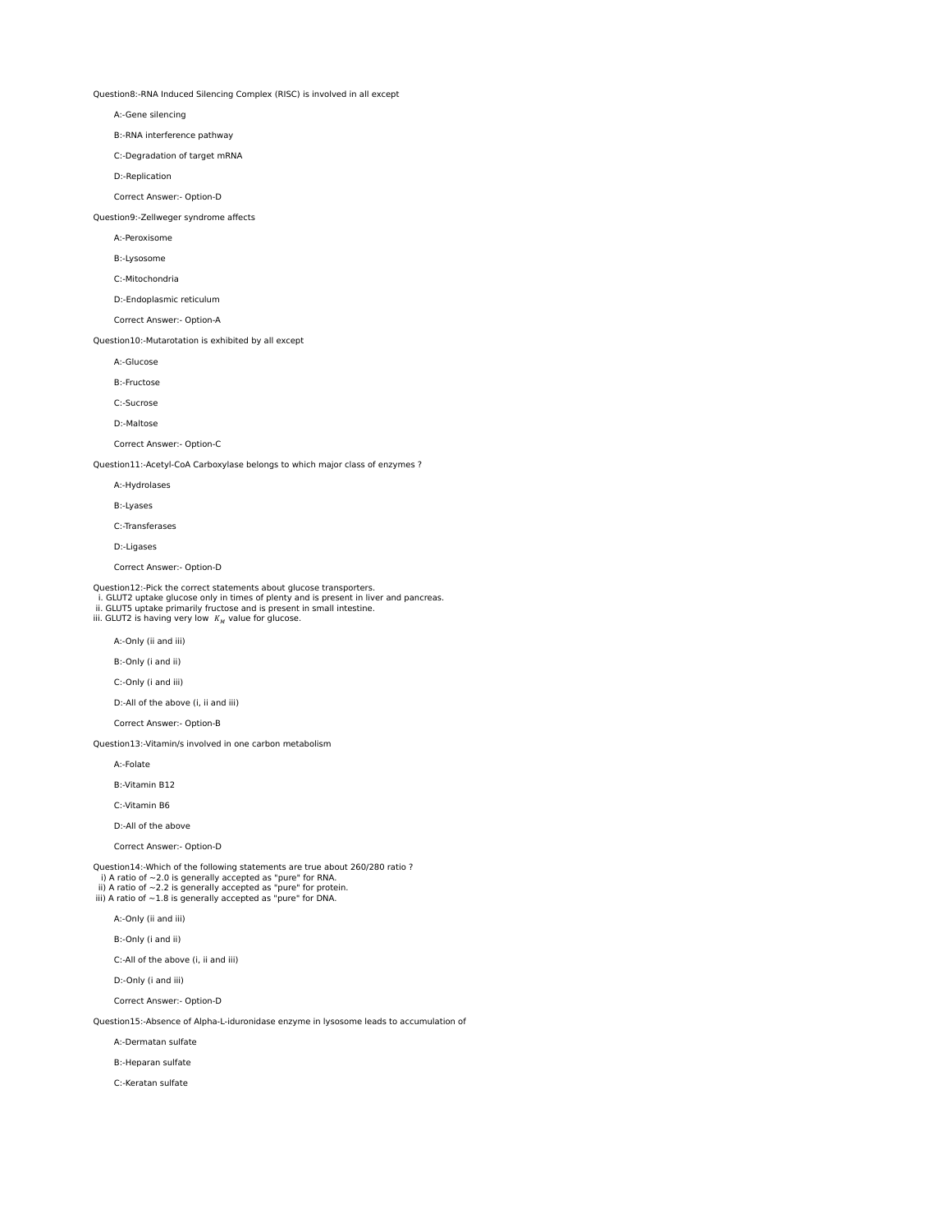Question8:-RNA Induced Silencing Complex (RISC) is involved in all except

A:-Gene silencing

B:-RNA interference pathway

C:-Degradation of target mRNA

D:-Replication

Correct Answer:- Option-D

Question9:-Zellweger syndrome affects

A:-Peroxisome

B:-Lysosome

C:-Mitochondria

D:-Endoplasmic reticulum

Correct Answer:- Option-A

Question10:-Mutarotation is exhibited by all except

A:-Glucose

B:-Fructose

C:-Sucrose

D:-Maltose

Correct Answer:- Option-C

Question11:-Acetyl-CoA Carboxylase belongs to which major class of enzymes ?

A:-Hydrolases

B:-Lyases

C:-Transferases

D:-Ligases

Correct Answer:- Option-D

Question12:-Pick the correct statements about glucose transporters.

i. GLUT2 uptake glucose only in times of plenty and is present in liver and pancreas. ii. GLUT5 uptake primarily fructose and is present in small intestine.

iii. GLUT2 is having very low  $K_M$  value for glucose.

A:-Only (ii and iii)

B:-Only (i and ii)

C:-Only (i and iii)

D:-All of the above (i, ii and iii)

Correct Answer:- Option-B

Question13:-Vitamin/s involved in one carbon metabolism

A:-Folate

B:-Vitamin B12

C:-Vitamin B6

D:-All of the above

Correct Answer:- Option-D

Question14:-Which of the following statements are true about 260/280 ratio ? i) A ratio of ~2.0 is generally accepted as "pure" for RNA.<br>ii) A ratio of ~2.2 is generally accepted as "pure" for protein.<br>iii) A ratio of ~1.8 is generally accepted as "pure" for DNA.

A:-Only (ii and iii)

B:-Only (i and ii)

C:-All of the above (i, ii and iii)

D:-Only (i and iii)

Correct Answer:- Option-D

Question15:-Absence of Alpha-L-iduronidase enzyme in lysosome leads to accumulation of

A:-Dermatan sulfate

B:-Heparan sulfate

C:-Keratan sulfate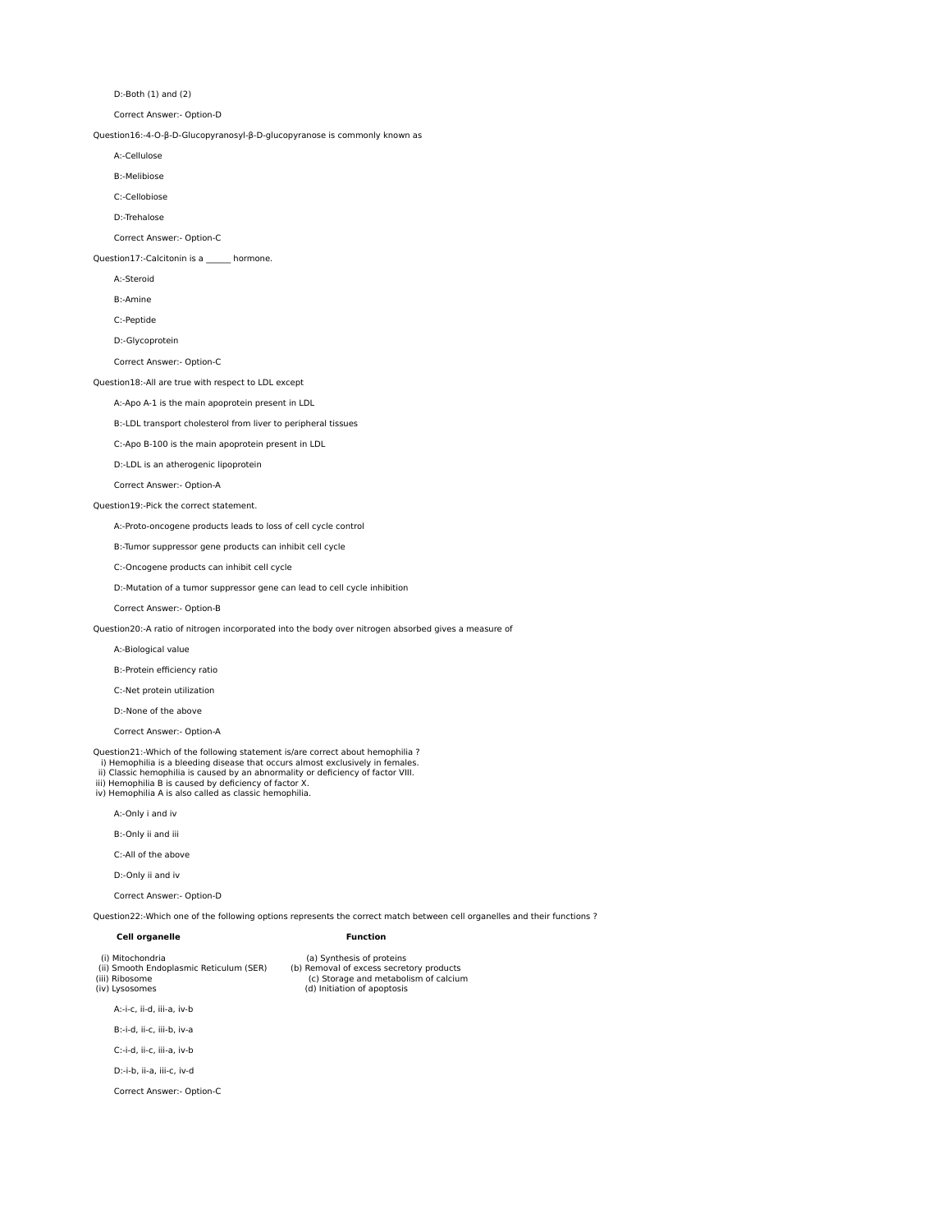D:-Both (1) and (2)

Correct Answer:- Option-D

Question16:-4-O-β-D-Glucopyranosyl-β-D-glucopyranose is commonly known as

A:-Cellulose

B:-Melibiose

C:-Cellobiose

D:-Trehalose

Correct Answer:- Option-C

Question17:-Calcitonin is a \_\_\_\_\_\_ hormone.

A:-Steroid

B:-Amine

C:-Peptide

D:-Glycoprotein

Correct Answer:- Option-C

Question18:-All are true with respect to LDL except

A:-Apo A-1 is the main apoprotein present in LDL

B:-LDL transport cholesterol from liver to peripheral tissues

C:-Apo B-100 is the main apoprotein present in LDL

D:-LDL is an atherogenic lipoprotein

Correct Answer:- Option-A

# Question19:-Pick the correct statement.

A:-Proto-oncogene products leads to loss of cell cycle control

B:-Tumor suppressor gene products can inhibit cell cycle

C:-Oncogene products can inhibit cell cycle

D:-Mutation of a tumor suppressor gene can lead to cell cycle inhibition

Correct Answer:- Option-B

Question20:-A ratio of nitrogen incorporated into the body over nitrogen absorbed gives a measure of

A:-Biological value

B:-Protein efficiency ratio

C:-Net protein utilization

D:-None of the above

Correct Answer:- Option-A

Question21:-Which of the following statement is/are correct about hemophilia ?

i) Hemophilia is a bleeding disease that occurs almost exclusively in females. ii) Classic hemophilia is caused by an abnormality or deficiency of factor VIII.

iii) Hemophilia B is caused by deficiency of factor X. iv) Hemophilia A is also called as classic hemophilia.

A:-Only i and iv

B:-Only ii and iii

C:-All of the above

D:-Only ii and iv

Correct Answer:- Option-D

Question22:-Which one of the following options represents the correct match between cell organelles and their functions ?

| Cell organelle                                                                                  | Function                                                                                                                                      |  |
|-------------------------------------------------------------------------------------------------|-----------------------------------------------------------------------------------------------------------------------------------------------|--|
| (i) Mitochondria<br>(ii) Smooth Endoplasmic Reticulum (SER)<br>(iii) Ribosome<br>(iv) Lysosomes | (a) Synthesis of proteins<br>(b) Removal of excess secretory products<br>(c) Storage and metabolism of calcium<br>(d) Initiation of apoptosis |  |
| A:-i-c. ii-d. iii-a. iv-b                                                                       |                                                                                                                                               |  |
| B:-i-d. ii-c. iii-b. iv-a                                                                       |                                                                                                                                               |  |

C:-i-d, ii-c, iii-a, iv-b

D:-i-b, ii-a, iii-c, iv-d

Correct Answer:- Option-C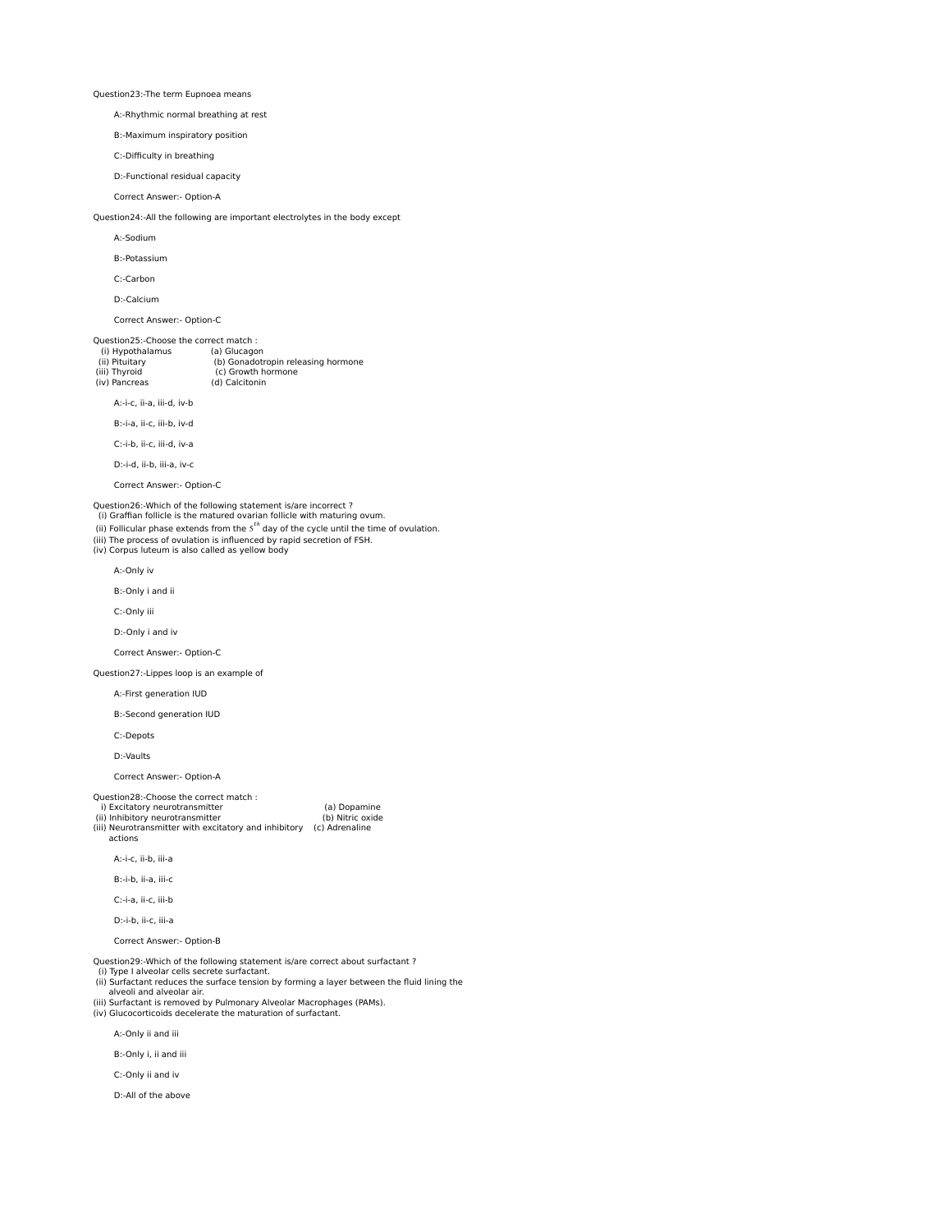Question23:-The term Eupnoea means

A:-Rhythmic normal breathing at rest

B:-Maximum inspiratory position

C:-Difficulty in breathing

D:-Functional residual capacity

Correct Answer:- Option-A

Question24:-All the following are important electrolytes in the body except

A:-Sodium

B:-Potassium

C:-Carbon

D:-Calcium

Correct Answer:- Option-C

Question25:-Choose the correct match :<br>(i) Hypothalamus (a) Glucagon (i) Hypothalamus

| (ii) Pituitary | (b) Gonadotropin releasing hormone |
|----------------|------------------------------------|
| (iii) Thyroid  | (c) Growth hormone                 |
| (iv) Pancreas  | (d) Calcitonin                     |
|                |                                    |

A:-i-c, ii-a, iii-d, iv-b

B:-i-a, ii-c, iii-b, iv-d

C:-i-b, ii-c, iii-d, iv-a

D:-i-d, ii-b, iii-a, iv-c

Correct Answer:- Option-C

Question26:-Which of the following statement is/are incorrect ?

(i) Graffian follicle is the matured ovarian follicle with maturing ovum.

(ii) Follicular phase extends from the 5<sup>th</sup> day of the cycle until the time of ovulation.<br>(iii) The process of ovulation is influenced by rapid secretion of FSH.

(iv) Corpus luteum is also called as yellow body

A:-Only iv

B:-Only i and ii

C:-Only iii

D:-Only i and iv

Correct Answer:- Option-C

Question27:-Lippes loop is an example of

A:-First generation IUD

B:-Second generation IUD

C:-Depots

D:-Vaults

Correct Answer:- Option-A

# Question28:-Choose the correct match :

i) Excitatory neurotransmitter (a) Dopamine<br>
(ii) Inhibitory neurotransmitter (b) Nitric oxide (iii) Neurotransmitter with excitatory and inhibitory (c) Adrenaline actions

A:-i-c, ii-b, iii-a

B:-i-b, ii-a, iii-c

C:-i-a, ii-c, iii-b

D:-i-b, ii-c, iii-a

Correct Answer:- Option-B

Question29:-Which of the following statement is/are correct about surfactant ?

- (i) Type I alveolar cells secrete surfactant. (ii) Surfactant reduces the surface tension by forming a layer between the fluid lining the
- alveoli and alveolar air. (iii) Surfactant is removed by Pulmonary Alveolar Macrophages (PAMs).
- (iv) Glucocorticoids decelerate the maturation of surfactant.

A:-Only ii and iii

B:-Only i, ii and iii

C:-Only ii and iv

D:-All of the above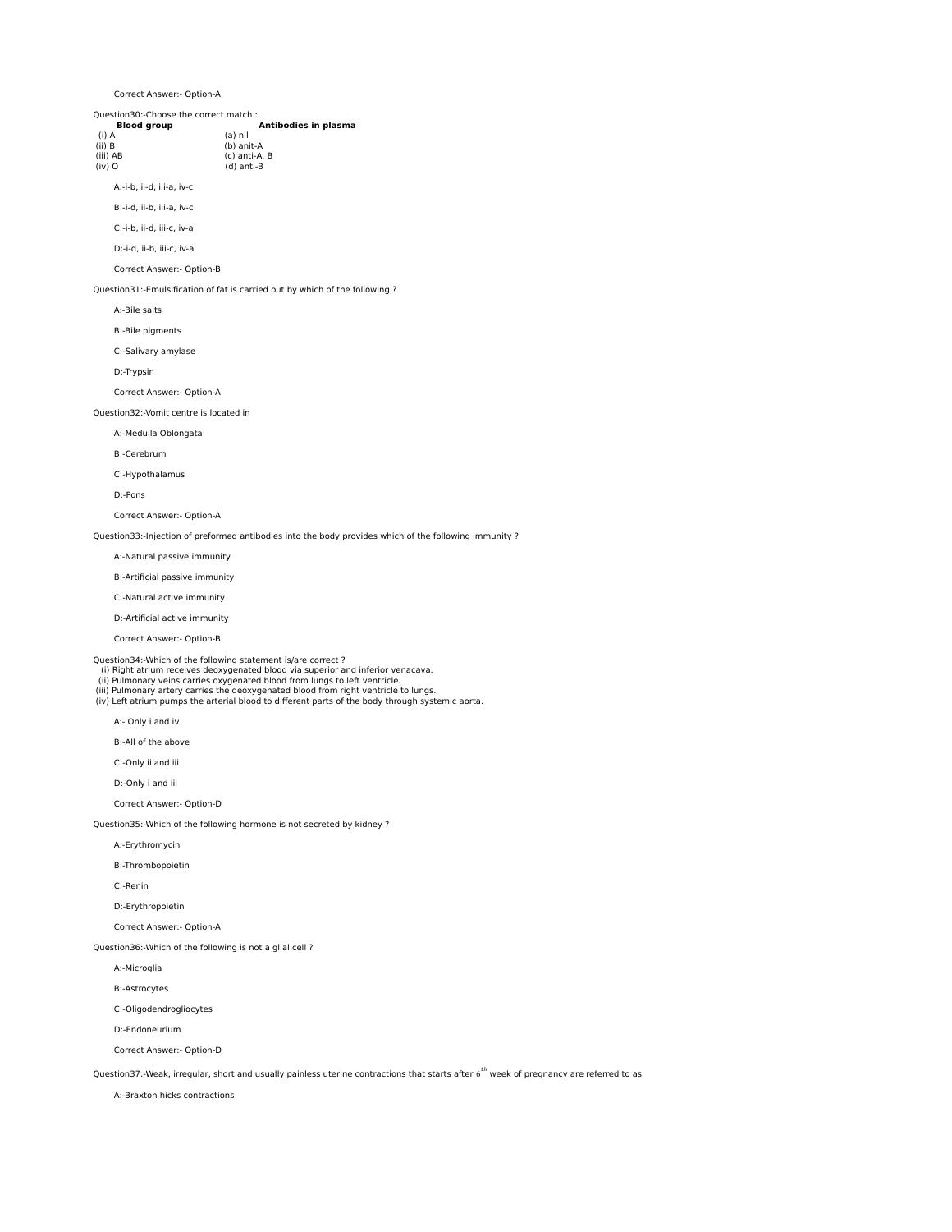Correct Answer:- Option-A

Question30:-Choose the correct match :

| OUCSLIOIDV.-CHOOSE LIIC CONTECT MULCII . |
|------------------------------------------|
| Antibodies in plasma                     |
| (a) nil                                  |
| (b) anit-A                               |
| (c) anti-A. B                            |
| (d) anti-B                               |
|                                          |

A:-i-b, ii-d, iii-a, iv-c

B:-i-d, ii-b, iii-a, iv-c

C:-i-b, ii-d, iii-c, iv-a

D:-i-d, ii-b, iii-c, iv-a

Correct Answer:- Option-B

Question31:-Emulsification of fat is carried out by which of the following ?

A:-Bile salts

B:-Bile pigments

C:-Salivary amylase

D:-Trypsin

Correct Answer:- Option-A

Question32:-Vomit centre is located in

A:-Medulla Oblongata

B:-Cerebrum

C:-Hypothalamus

D:-Pons

Correct Answer:- Option-A

Question33:-Injection of preformed antibodies into the body provides which of the following immunity ?

A:-Natural passive immunity

B:-Artificial passive immunity

C:-Natural active immunity

D:-Artificial active immunity

Correct Answer:- Option-B

Question34:-Which of the following statement is/are correct ? (i) Right atrium receives deoxygenated blood via superior and inferior venacava.

ii) Pulmonary veins carries oxygenated blood from lungs to left ventricle.<br>(iii) Pulmonary artery carries the deoxygenated blood from right ventricle to lungs.<br>(iv) Left atrium pumps the arterial blood to different parts o

A:- Only i and iv

B:-All of the above

C:-Only ii and iii

D:-Only i and iii

Correct Answer:- Option-D

Question35:-Which of the following hormone is not secreted by kidney ?

A:-Erythromycin

B:-Thrombopoietin

C:-Renin

D:-Erythropoietin

Correct Answer:- Option-A

Question36:-Which of the following is not a glial cell ?

A:-Microglia

B:-Astrocytes

C:-Oligodendrogliocytes

D:-Endoneurium

Correct Answer:- Option-D

Question37:-Weak, irregular, short and usually painless uterine contractions that starts after 6<sup>th</sup> week of pregnancy are referred to as

A:-Braxton hicks contractions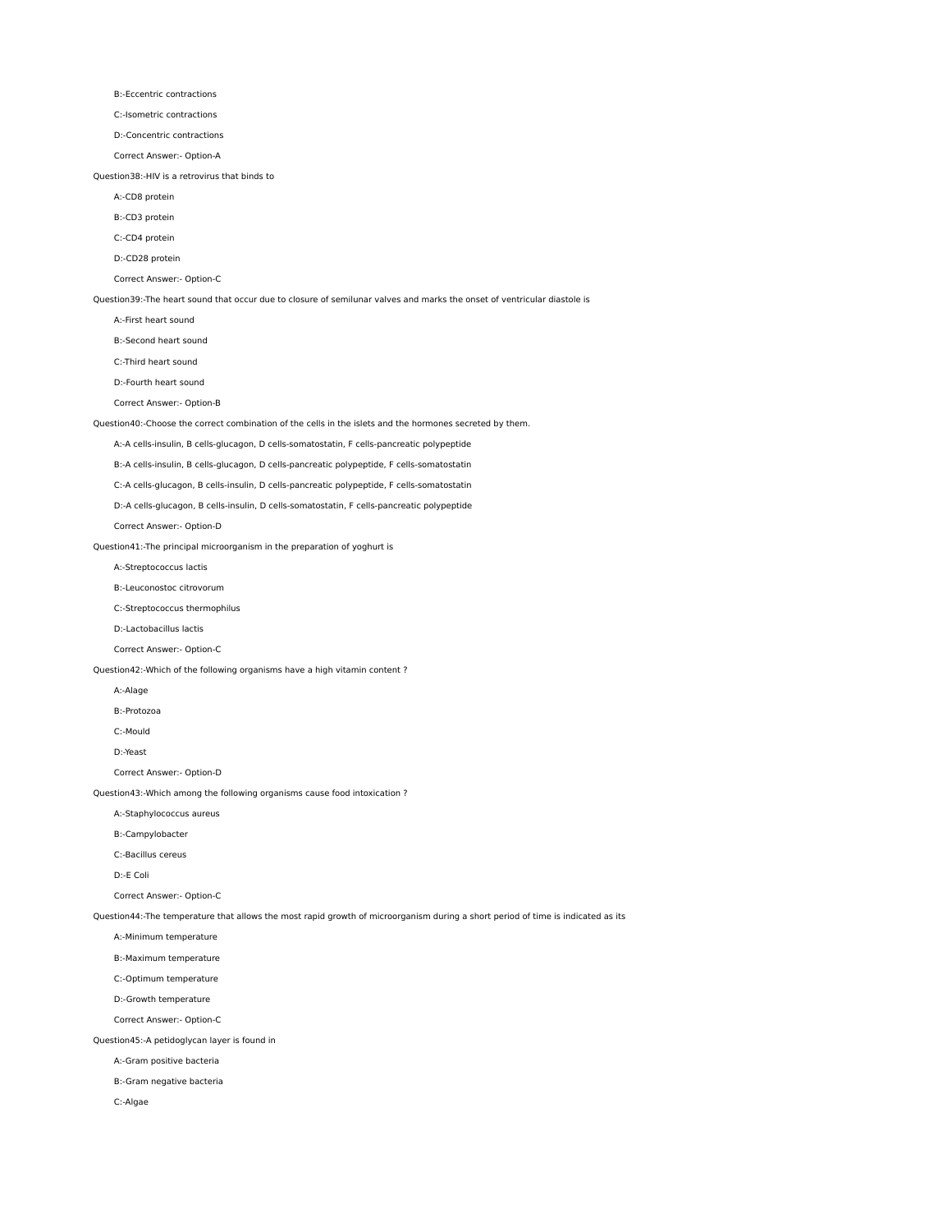B:-Eccentric contractions

C:-Isometric contractions

D:-Concentric contractions

Correct Answer:- Option-A

#### Question38:-HIV is a retrovirus that binds to

A:-CD8 protein

B:-CD3 protein

C:-CD4 protein

D:-CD28 protein

Correct Answer:- Option-C

Question39:-The heart sound that occur due to closure of semilunar valves and marks the onset of ventricular diastole is

A:-First heart sound

B:-Second heart sound

C:-Third heart sound

D:-Fourth heart sound

Correct Answer:- Option-B

Question40:-Choose the correct combination of the cells in the islets and the hormones secreted by them.

A:-A cells-insulin, B cells-glucagon, D cells-somatostatin, F cells-pancreatic polypeptide

B:-A cells-insulin, B cells-glucagon, D cells-pancreatic polypeptide, F cells-somatostatin

C:-A cells-glucagon, B cells-insulin, D cells-pancreatic polypeptide, F cells-somatostatin

D:-A cells-glucagon, B cells-insulin, D cells-somatostatin, F cells-pancreatic polypeptide

Correct Answer:- Option-D

Question41:-The principal microorganism in the preparation of yoghurt is

A:-Streptococcus lactis

B:-Leuconostoc citrovorum

C:-Streptococcus thermophilus

D:-Lactobacillus lactis

Correct Answer:- Option-C

Question42:-Which of the following organisms have a high vitamin content ?

#### A:-Alage

B:-Protozoa

C:-Mould

D:-Yeast

Correct Answer:- Option-D

Question43:-Which among the following organisms cause food intoxication ?

A:-Staphylococcus aureus

B:-Campylobacter

C:-Bacillus cereus

D:-E Coli

Correct Answer:- Option-C

Question44:-The temperature that allows the most rapid growth of microorganism during a short period of time is indicated as its

A:-Minimum temperature

B:-Maximum temperature

C:-Optimum temperature

D:-Growth temperature

Correct Answer:- Option-C

Question45:-A petidoglycan layer is found in

A:-Gram positive bacteria

B:-Gram negative bacteria

C:-Algae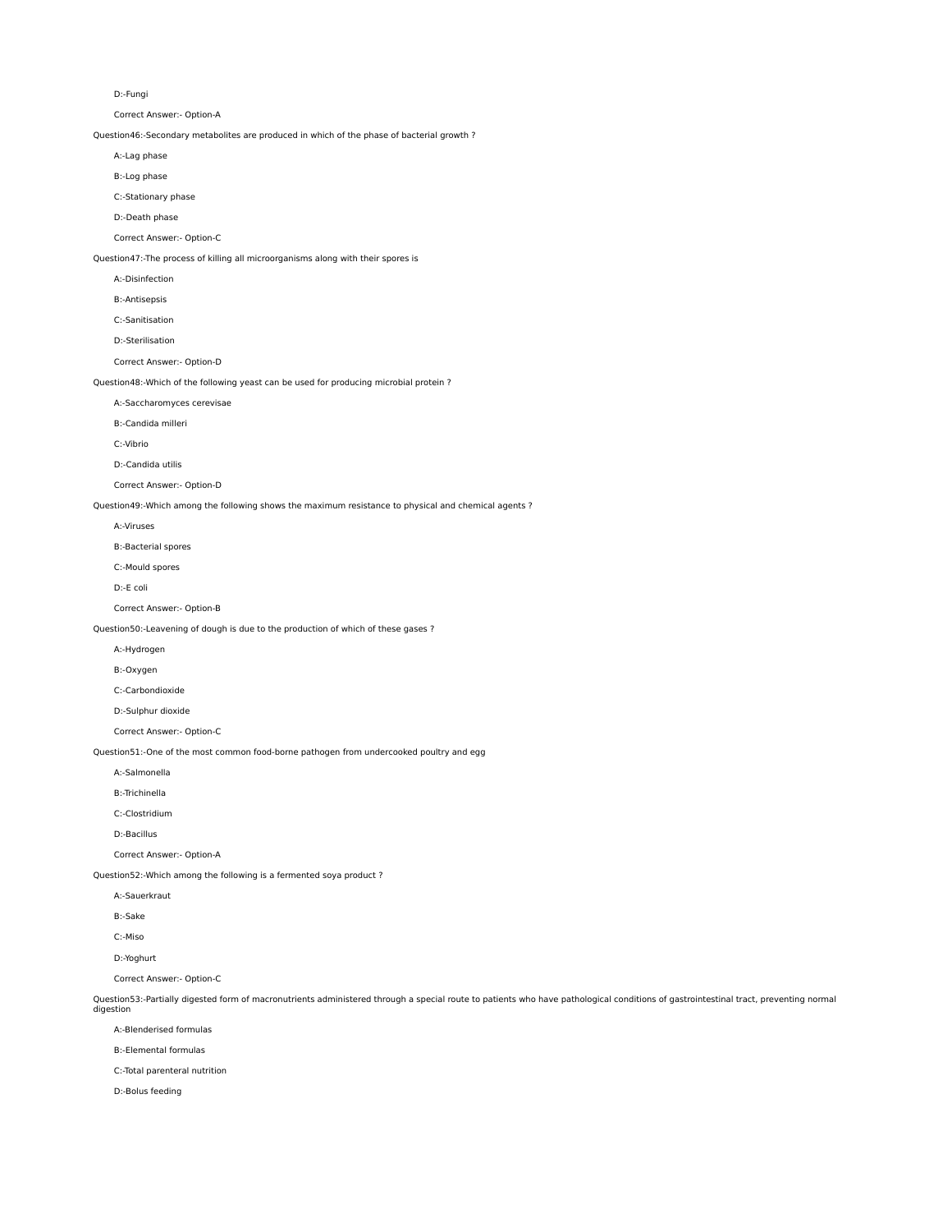D:-Fungi

Correct Answer:- Option-A

Question46:-Secondary metabolites are produced in which of the phase of bacterial growth ?

A:-Lag phase

B:-Log phase

C:-Stationary phase

D:-Death phase

Correct Answer:- Option-C

Question47:-The process of killing all microorganisms along with their spores is

A:-Disinfection

B:-Antisepsis

C:-Sanitisation

D:-Sterilisation

Correct Answer:- Option-D

Question48:-Which of the following yeast can be used for producing microbial protein ?

A:-Saccharomyces cerevisae

B:-Candida milleri

C:-Vibrio

D:-Candida utilis

Correct Answer:- Option-D

Question49:-Which among the following shows the maximum resistance to physical and chemical agents ?

A:-Viruses

B:-Bacterial spores

C:-Mould spores

D:-E coli

Correct Answer:- Option-B

Question50:-Leavening of dough is due to the production of which of these gases ?

A:-Hydrogen

B:-Oxygen

C:-Carbondioxide

D:-Sulphur dioxide

Correct Answer:- Option-C

Question51:-One of the most common food-borne pathogen from undercooked poultry and egg

A:-Salmonella

B:-Trichinella

C:-Clostridium

D:-Bacillus

Correct Answer:- Option-A

Question52:-Which among the following is a fermented soya product ?

A:-Sauerkraut

B:-Sake

C:-Miso

D:-Yoghurt

Correct Answer:- Option-C

Question53:-Partially digested form of macronutrients administered through a special route to patients who have pathological conditions of gastrointestinal tract, preventing normal digestion

A:-Blenderised formulas

B:-Elemental formulas

C:-Total parenteral nutrition

D:-Bolus feeding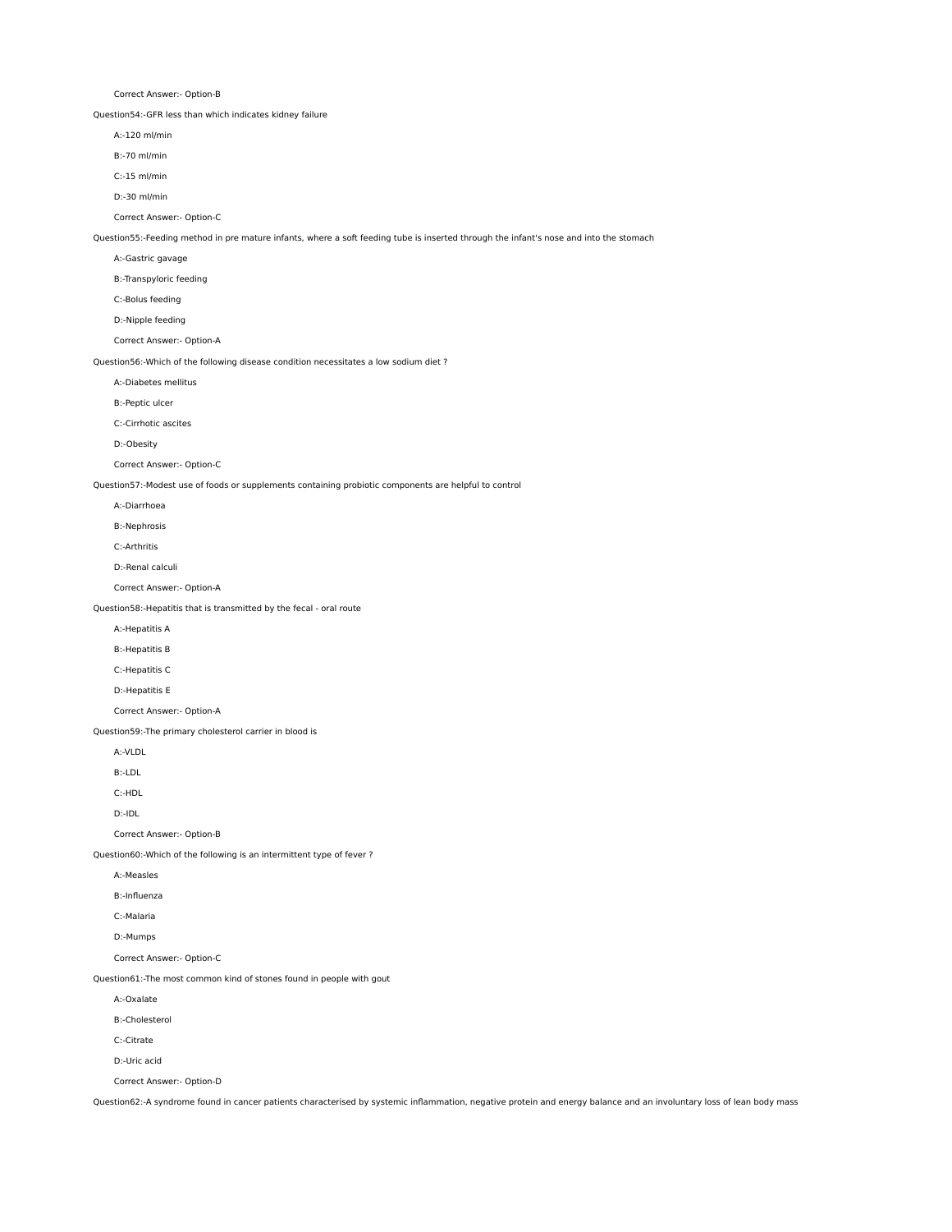Correct Answer:- Option-B

Question54:-GFR less than which indicates kidney failure

- A:-120 ml/min
- B:-70 ml/min
- C:-15 ml/min
- D:-30 ml/min
- Correct Answer:- Option-C

Question55:-Feeding method in pre mature infants, where a soft feeding tube is inserted through the infant's nose and into the stomach

- A:-Gastric gavage
- B:-Transpyloric feeding
- C:-Bolus feeding
- D:-Nipple feeding

Correct Answer:- Option-A

Question56:-Which of the following disease condition necessitates a low sodium diet ?

- A:-Diabetes mellitus
- B:-Peptic ulcer
- C:-Cirrhotic ascites

D:-Obesity

Correct Answer:- Option-C

Question57:-Modest use of foods or supplements containing probiotic components are helpful to control

- A:-Diarrhoea
- B:-Nephrosis
- C:-Arthritis
- D:-Renal calculi
- Correct Answer:- Option-A

Question58:-Hepatitis that is transmitted by the fecal - oral route

- A:-Hepatitis A
- B:-Hepatitis B
- C:-Hepatitis C
- D:-Hepatitis E

Correct Answer:- Option-A

Question59:-The primary cholesterol carrier in blood is

A:-VLDL

B:-LDL

C:-HDL

D:-IDL

Correct Answer:- Option-B

Question60:-Which of the following is an intermittent type of fever ?

- A:-Measles
- B:-Influenza
- C:-Malaria
- D:-Mumps

Correct Answer:- Option-C

Question61:-The most common kind of stones found in people with gout

A:-Oxalate

B:-Cholesterol

C:-Citrate

D:-Uric acid

Correct Answer:- Option-D

Question62:-A syndrome found in cancer patients characterised by systemic inflammation, negative protein and energy balance and an involuntary loss of lean body mass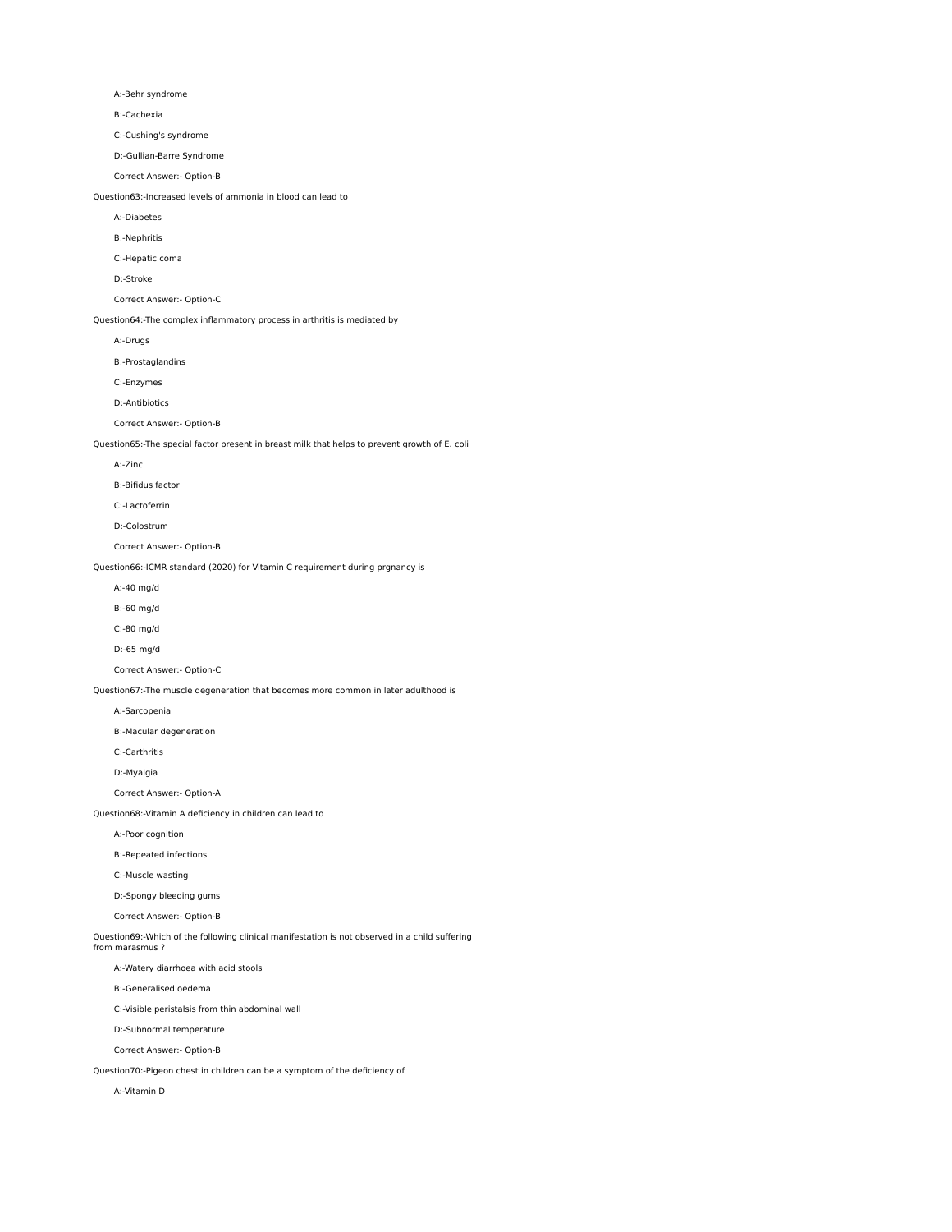A:-Behr syndrome

B:-Cachexia

C:-Cushing's syndrome

D:-Gullian-Barre Syndrome

Correct Answer:- Option-B

Question63:-Increased levels of ammonia in blood can lead to

A:-Diabetes

B:-Nephritis

C:-Hepatic coma

D:-Stroke

Correct Answer:- Option-C

Question64:-The complex inflammatory process in arthritis is mediated by

A:-Drugs

B:-Prostaglandins

C:-Enzymes

D:-Antibiotics

Correct Answer:- Option-B

Question65:-The special factor present in breast milk that helps to prevent growth of E. coli

A:-Zinc

B:-Bifidus factor

C:-Lactoferrin

D:-Colostrum

Correct Answer:- Option-B

Question66:-ICMR standard (2020) for Vitamin C requirement during prgnancy is

A:-40 mg/d

B:-60 mg/d

C:-80 mg/d

D:-65 mg/d

Correct Answer:- Option-C

Question67:-The muscle degeneration that becomes more common in later adulthood is

A:-Sarcopenia

B:-Macular degeneration

C:-Carthritis

D:-Myalgia

Correct Answer:- Option-A

Question68:-Vitamin A deficiency in children can lead to

A:-Poor cognition

B:-Repeated infections

C:-Muscle wasting

D:-Spongy bleeding gums

Correct Answer:- Option-B

Question69:-Which of the following clinical manifestation is not observed in a child suffering

from marasmus ?

A:-Watery diarrhoea with acid stools

B:-Generalised oedema

C:-Visible peristalsis from thin abdominal wall

D:-Subnormal temperature

Correct Answer:- Option-B

Question70:-Pigeon chest in children can be a symptom of the deficiency of

A:-Vitamin D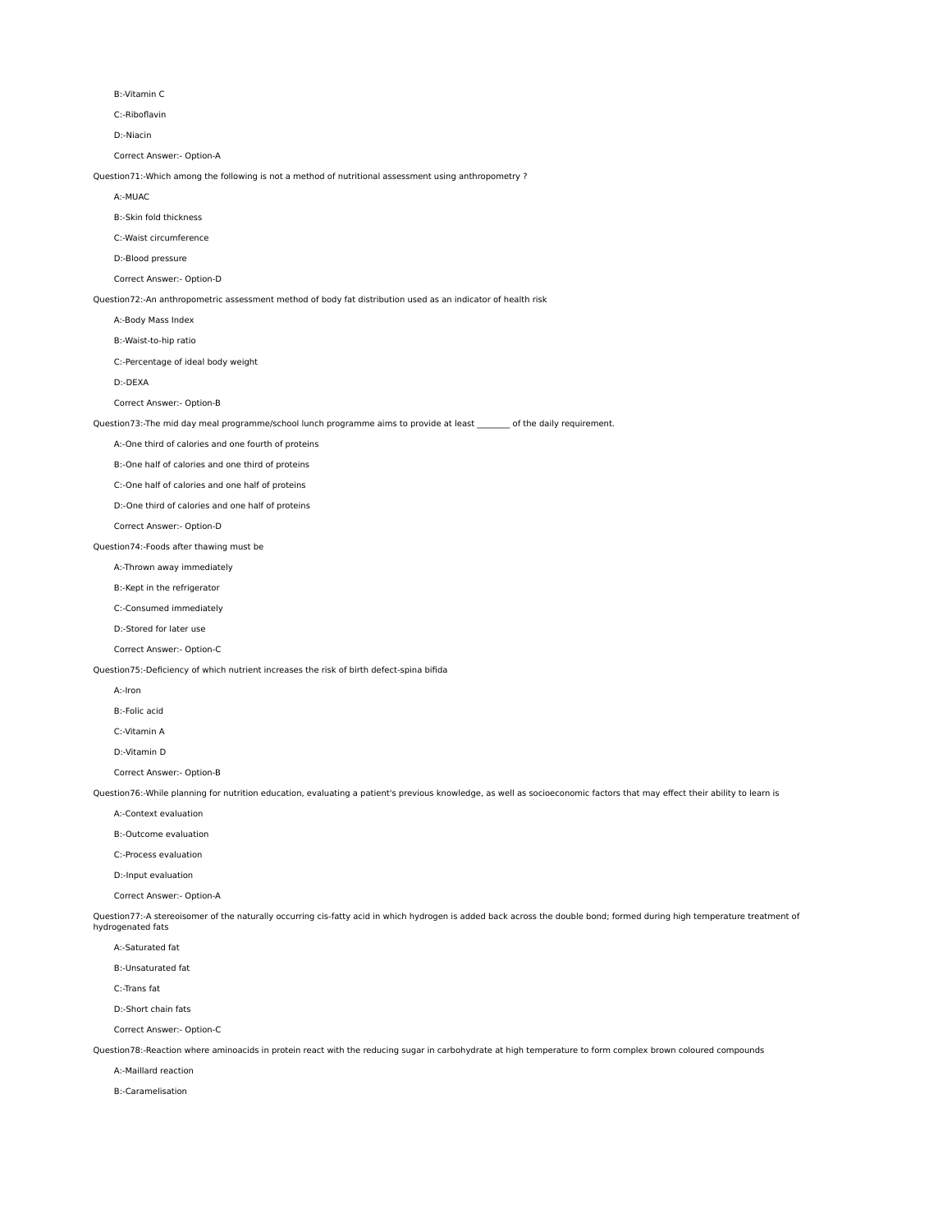B:-Vitamin C

C:-Riboflavin

D:-Niacin

Correct Answer:- Option-A

Question71:-Which among the following is not a method of nutritional assessment using anthropometry ?

A:-MUAC

B:-Skin fold thickness

C:-Waist circumference

D:-Blood pressure

Correct Answer:- Option-D

Question72:-An anthropometric assessment method of body fat distribution used as an indicator of health risk

A:-Body Mass Index

B:-Waist-to-hip ratio

C:-Percentage of ideal body weight

D:-DEXA

Correct Answer:- Option-B

Question73:-The mid day meal programme/school lunch programme aims to provide at least \_\_\_\_\_\_\_\_ of the daily requirement.

A:-One third of calories and one fourth of proteins

B:-One half of calories and one third of proteins

C:-One half of calories and one half of proteins

D:-One third of calories and one half of proteins

Correct Answer:- Option-D

Question74:-Foods after thawing must be

A:-Thrown away immediately

B:-Kept in the refrigerator

C:-Consumed immediately

D:-Stored for later use

Correct Answer:- Option-C

Question75:-Deficiency of which nutrient increases the risk of birth defect-spina bifida

A:-Iron

B:-Folic acid

C:-Vitamin A

D:-Vitamin D

Correct Answer:- Option-B

Question76:-While planning for nutrition education, evaluating a patient's previous knowledge, as well as socioeconomic factors that may effect their ability to learn is

A:-Context evaluation

B:-Outcome evaluation

C:-Process evaluation

D:-Input evaluation

Correct Answer:- Option-A

Question77:-A stereoisomer of the naturally occurring cis-fatty acid in which hydrogen is added back across the double bond; formed during high temperature treatment of hydrogenated fats

A:-Saturated fat

B:-Unsaturated fat

C:-Trans fat

D:-Short chain fats

Correct Answer:- Option-C

Question78:-Reaction where aminoacids in protein react with the reducing sugar in carbohydrate at high temperature to form complex brown coloured compounds

A:-Maillard reaction

B:-Caramelisation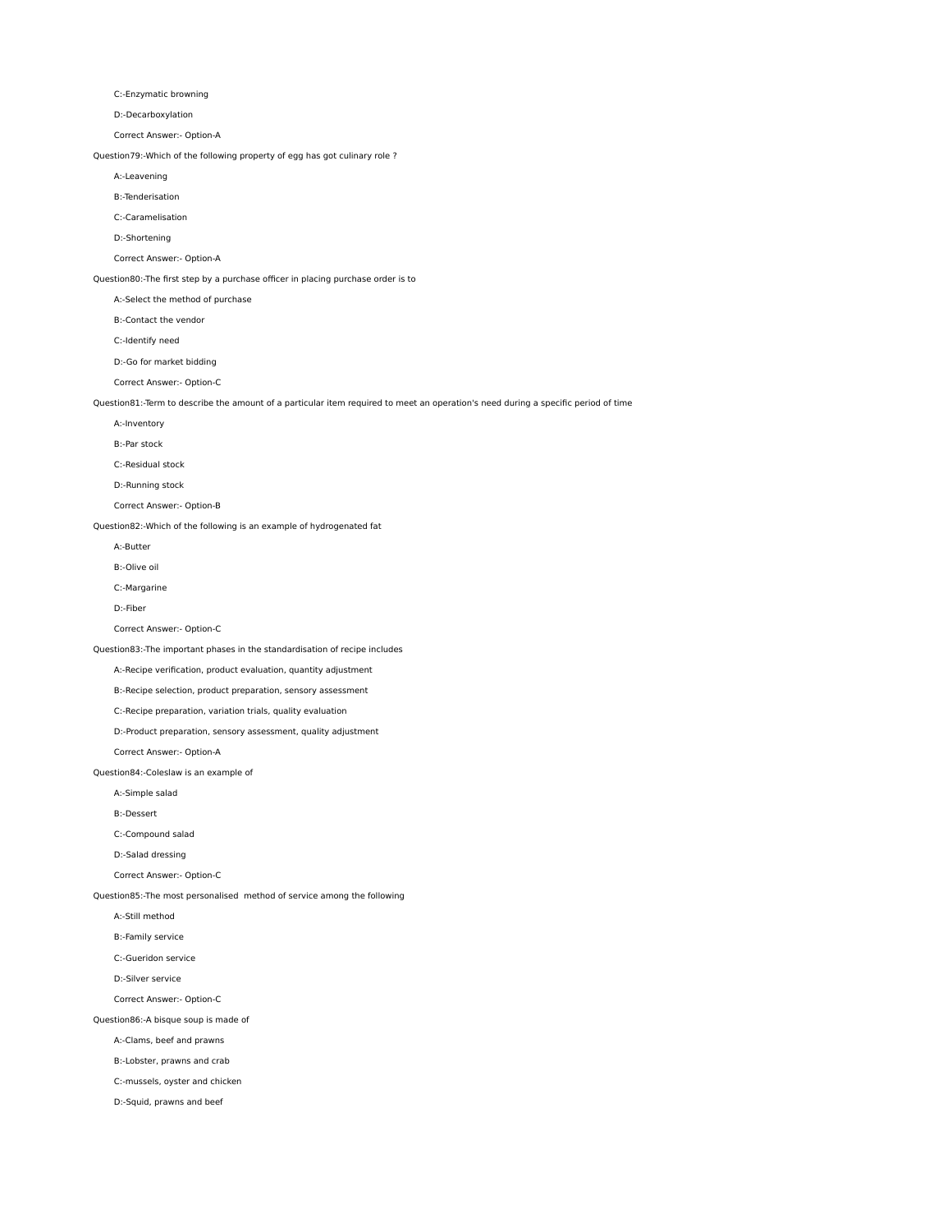C:-Enzymatic browning

D:-Decarboxylation

Correct Answer:- Option-A

Question79:-Which of the following property of egg has got culinary role ?

A:-Leavening

B:-Tenderisation

C:-Caramelisation

D:-Shortening

Correct Answer:- Option-A

Question80:-The first step by a purchase officer in placing purchase order is to

A:-Select the method of purchase

B:-Contact the vendor

C:-Identify need

D:-Go for market bidding

Correct Answer:- Option-C

Question81:-Term to describe the amount of a particular item required to meet an operation's need during a specific period of time

A:-Inventory

B:-Par stock

C:-Residual stock

D:-Running stock

Correct Answer:- Option-B

Question82:-Which of the following is an example of hydrogenated fat

A:-Butter

B:-Olive oil

C:-Margarine

D:-Fiber

Correct Answer:- Option-C

Question83:-The important phases in the standardisation of recipe includes

A:-Recipe verification, product evaluation, quantity adjustment

B:-Recipe selection, product preparation, sensory assessment

C:-Recipe preparation, variation trials, quality evaluation

D:-Product preparation, sensory assessment, quality adjustment

Correct Answer:- Option-A

Question84:-Coleslaw is an example of

A:-Simple salad

B:-Dessert

C:-Compound salad

D:-Salad dressing

Correct Answer:- Option-C

Question85:-The most personalised method of service among the following

A:-Still method

B:-Family service

C:-Gueridon service

D:-Silver service

Correct Answer:- Option-C

Question86:-A bisque soup is made of

A:-Clams, beef and prawns

B:-Lobster, prawns and crab

C:-mussels, oyster and chicken

D:-Squid, prawns and beef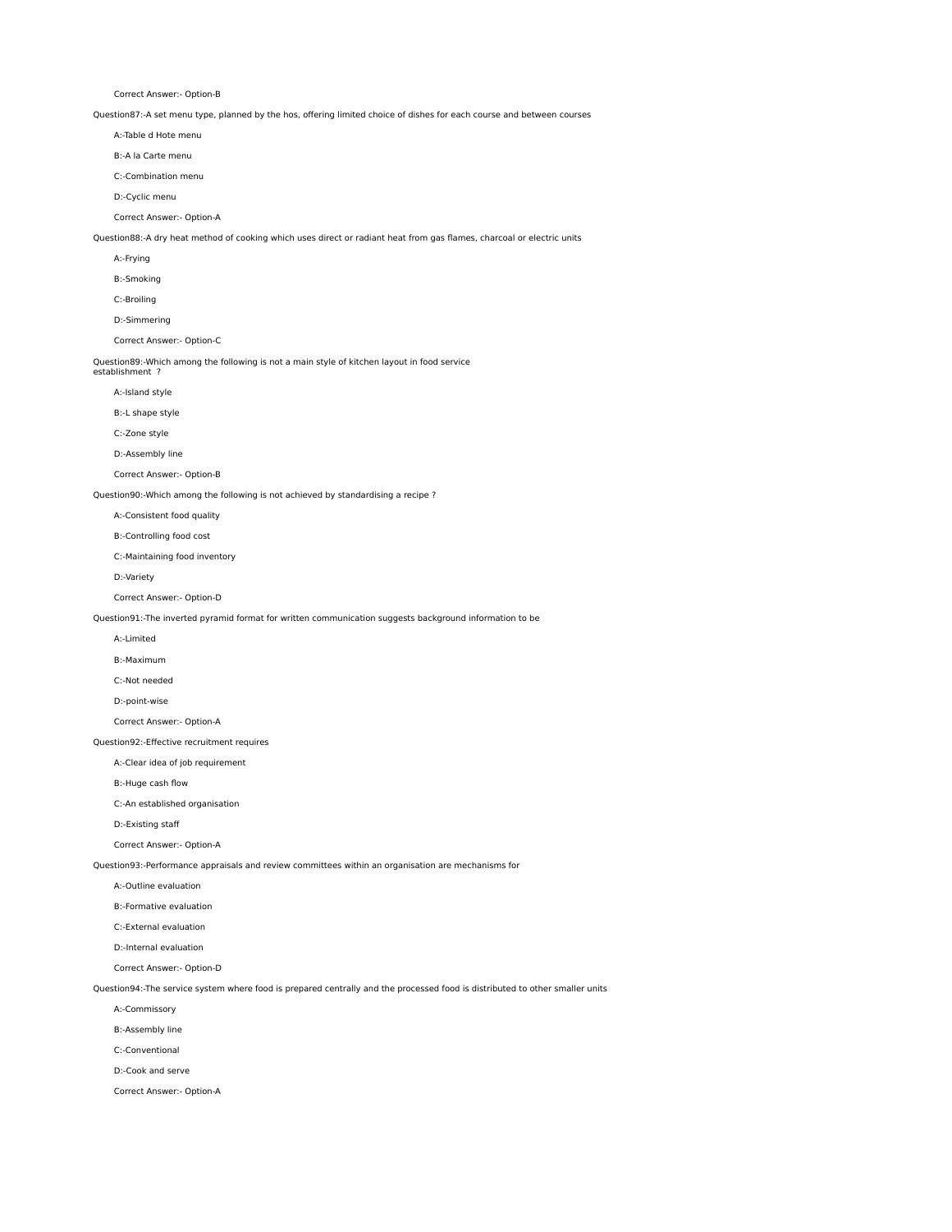Correct Answer:- Option-B

Question87:-A set menu type, planned by the hos, offering limited choice of dishes for each course and between courses

- A:-Table d Hote menu
- B:-A la Carte menu

C:-Combination menu

D:-Cyclic menu

Correct Answer:- Option-A

Question88:-A dry heat method of cooking which uses direct or radiant heat from gas flames, charcoal or electric units

- A:-Frying
- B:-Smoking
- C:-Broiling
- D:-Simmering

Correct Answer:- Option-C

Question89:-Which among the following is not a main style of kitchen layout in food service establishment ?

A:-Island style

B:-L shape style

C:-Zone style

D:-Assembly line

Correct Answer:- Option-B

Question90:-Which among the following is not achieved by standardising a recipe ?

A:-Consistent food quality

B:-Controlling food cost

C:-Maintaining food inventory

D:-Variety

Correct Answer:- Option-D

Question91:-The inverted pyramid format for written communication suggests background information to be

A:-Limited

B:-Maximum

C:-Not needed

D:-point-wise

Correct Answer:- Option-A

# Question92:-Effective recruitment requires

A:-Clear idea of job requirement

B:-Huge cash flow

C:-An established organisation

D:-Existing staff

### Correct Answer:- Option-A

Question93:-Performance appraisals and review committees within an organisation are mechanisms for

A:-Outline evaluation

B:-Formative evaluation

C:-External evaluation

D:-Internal evaluation

Correct Answer:- Option-D

Question94:-The service system where food is prepared centrally and the processed food is distributed to other smaller units

A:-Commissory

B:-Assembly line

C:-Conventional

D:-Cook and serve

Correct Answer:- Option-A